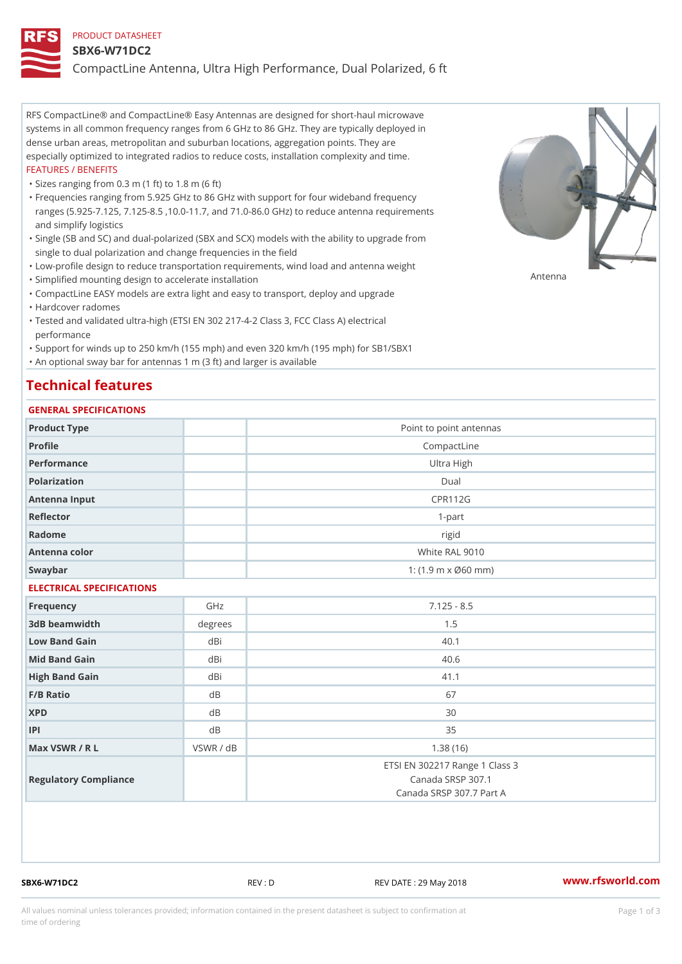#### PRODUCT DATASHEET

#### SBX6-W71DC2

CompactLine Antenna, Ultra High Performance, Dual Polarized, 6 ft

RFS CompactLine® and CompactLine® Easy Antennas are designed for short-haul microwave systems in all common frequency ranges from 6 GHz to 86 GHz. They are typically deployed in dense urban areas, metropolitan and suburban locations, aggregation points. They are especially optimized to integrated radios to reduce costs, installation complexity and time. FEATURES / BENEFITS

"Sizes ranging from 0.3 m (1 ft) to 1.8 m (6 ft)

- Frequencies ranging from 5.925 GHz to 86 GHz with support for four wideband frequency " ranges (5.925-7.125, 7.125-8.5 ,10.0-11.7, and 71.0-86.0 GHz) to reduce antenna requirements and simplify logistics
- Single (SB and SC) and dual-polarized (SBX and SCX) models with the ability to upgrade from " single to dual polarization and change frequencies in the field
- "Low-profile design to reduce transportation requirements, wind load and antenna weight
- "Simplified mounting design to accelerate installation

 "CompactLine EASY models are extra light and easy to transport, deploy and upgrade "Hardcover radomes

Tested and validated ultra-high (ETSI EN 302 217-4-2 Class 3, FCC Class A) electrical " performance

 "Support for winds up to 250 km/h (155 mph) and even 320 km/h (195 mph) for SB1/SBX1 "An optional sway bar for antennas 1 m (3 ft) and larger is available

# Technical features

### GENERAL SPECIFICATIONS

| GENERAL SPECIFICATIONS    |                |                                                                                 |  |  |
|---------------------------|----------------|---------------------------------------------------------------------------------|--|--|
| Product Type              |                | Point to point antennas                                                         |  |  |
| Profile                   |                | CompactLine                                                                     |  |  |
| Performance               |                | Ultra High                                                                      |  |  |
| Polarization              | $D$ ual        |                                                                                 |  |  |
| Antenna Input             | <b>CPR112G</b> |                                                                                 |  |  |
| Reflector                 |                | $1 - p$ art                                                                     |  |  |
| Radome                    |                | rigid                                                                           |  |  |
| Antenna color             |                | White RAL 9010                                                                  |  |  |
| Swaybar                   |                | 1: $(1.9 \, m \times 060 \, mm)$                                                |  |  |
| ELECTRICAL SPECIFICATIONS |                |                                                                                 |  |  |
| Frequency                 | GHz            | $7.125 - 8.5$                                                                   |  |  |
| 3dB beamwidth             | degree         | 1.5                                                                             |  |  |
| Low Band Gain             | dBi            | 40.1                                                                            |  |  |
| Mid Band Gain             | dBi            | 40.6                                                                            |  |  |
| High Band Gain            | dBi            | 41.1                                                                            |  |  |
| $F/B$ Ratio               | $d$ B          | 67                                                                              |  |  |
| <b>XPD</b>                | d B            | 30                                                                              |  |  |
| P                         | d B            | 35                                                                              |  |  |
| Max VSWR / R L            | VSWR / dB      | 1.38(16)                                                                        |  |  |
| Regulatory Compliance     |                | ETSI EN 302217 Range 1 Class 3<br>Canada SRSP 307.1<br>Canada SRSP 307.7 Part A |  |  |

SBX6-W71DC2 REV : D REV DATE : 29 May 2018 [www.](https://www.rfsworld.com)rfsworld.com

Antenna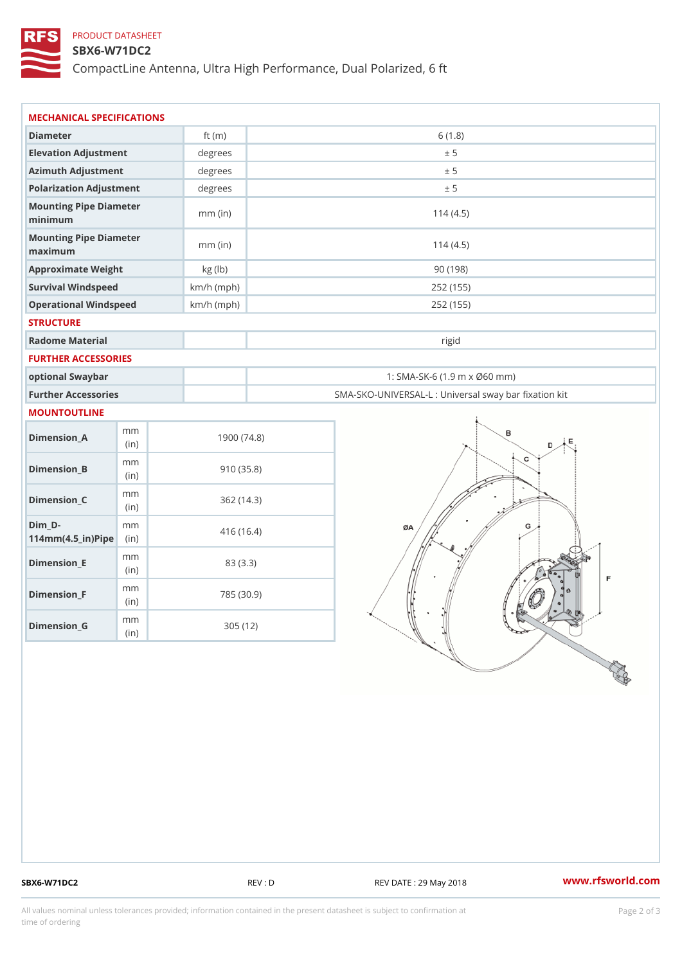### PRODUCT DATASHEET

### SBX6-W71DC2

CompactLine Antenna, Ultra High Performance, Dual Polarized, 6 ft

| MECHANICAL SPECIFICATIONS                                                      |              |                                                   |
|--------------------------------------------------------------------------------|--------------|---------------------------------------------------|
| Diameter                                                                       | ft $(m)$     | 6(1.8)                                            |
| Elevation Adjustment                                                           | degrees      | ± 5                                               |
| Azimuth Adjustment                                                             | degrees      | ± 5                                               |
| Polarization Adjustment                                                        | degrees      | ± 5                                               |
| Mounting Pipe Diameter<br>minimum                                              | $mm$ (in)    | 114(4.5)                                          |
| Mounting Pipe Diameter<br>maximum                                              | $mm$ (in)    | 114(4.5)                                          |
| Approximate Weight                                                             | kg (lb)      | 90(198)                                           |
| Survival Windspeed                                                             | $km/h$ (mph) | 252 (155)                                         |
| Operational Windspeed                                                          | $km/h$ (mph) | 252 (155)                                         |
| <b>STRUCTURE</b>                                                               |              |                                                   |
| Radome Material                                                                |              | rigid                                             |
| FURTHER ACCESSORIES                                                            |              |                                                   |
| optional Swaybar                                                               |              | 1: SMA-SK-6 (1.9 m x Ø60 mm)                      |
| Further Accessories                                                            |              | SMA-SKO-UNIVERSAL-L : Universal sway bar fixation |
| MOUNTOUTLINE                                                                   |              |                                                   |
| m m<br>$Dimen sion_A$<br>(in)                                                  | 1900(74.8)   |                                                   |
| m m<br>$Dimension_B$<br>(in)                                                   | 910(35.8)    |                                                   |
| m m<br>$Dimenision_C$<br>(in)                                                  | 362(14.3)    |                                                   |
| $Dim_D - D -$<br>m m<br>$114$ m m (4.5 _ ir ) $\sqrt{$ ii p $\sqrt{$ $\approx$ | 416 (16.4)   |                                                   |
| m m<br>$Dimension$ $E$<br>(in)                                                 | 83 (3.3)     |                                                   |
| m m<br>$Dimension_F$<br>(in)                                                   | 785 (30.9)   |                                                   |
| $\mathsf m$ $\mathsf m$<br>$D$ imension_G<br>(in)                              | 305 (12)     |                                                   |

SBX6-W71DC2 REV : D REV DATE : 29 May 2018 WWW.rfsworld.com